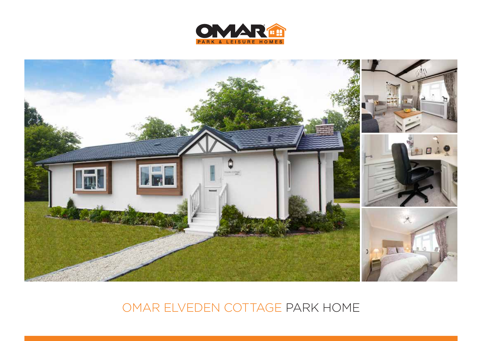



# OMAR ELVEDEN COTTAGE PARK HOME